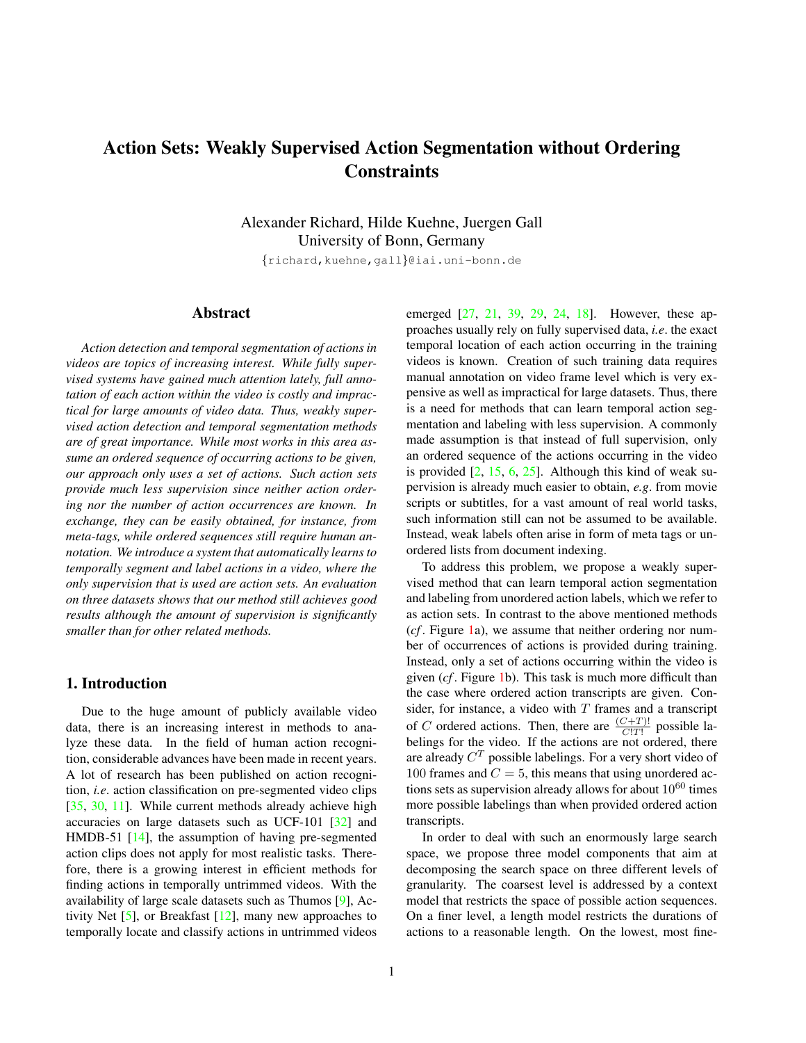# <span id="page-0-1"></span>Action Sets: Weakly Supervised Action Segmentation without Ordering **Constraints**

Alexander Richard, Hilde Kuehne, Juergen Gall University of Bonn, Germany

{richard,kuehne,gall}@iai.uni-bonn.de

### Abstract

*Action detection and temporal segmentation of actions in videos are topics of increasing interest. While fully supervised systems have gained much attention lately, full annotation of each action within the video is costly and impractical for large amounts of video data. Thus, weakly supervised action detection and temporal segmentation methods are of great importance. While most works in this area assume an ordered sequence of occurring actions to be given, our approach only uses a set of actions. Such action sets provide much less supervision since neither action ordering nor the number of action occurrences are known. In exchange, they can be easily obtained, for instance, from meta-tags, while ordered sequences still require human annotation. We introduce a system that automatically learns to temporally segment and label actions in a video, where the only supervision that is used are action sets. An evaluation on three datasets shows that our method still achieves good results although the amount of supervision is significantly smaller than for other related methods.*

### <span id="page-0-0"></span>1. Introduction

Due to the huge amount of publicly available video data, there is an increasing interest in methods to analyze these data. In the field of human action recognition, considerable advances have been made in recent years. A lot of research has been published on action recognition, *i.e*. action classification on pre-segmented video clips [\[35,](#page-9-0) [30,](#page-9-1) [11\]](#page-8-0). While current methods already achieve high accuracies on large datasets such as UCF-101 [\[32\]](#page-9-2) and HMDB-51 [\[14\]](#page-8-1), the assumption of having pre-segmented action clips does not apply for most realistic tasks. Therefore, there is a growing interest in efficient methods for finding actions in temporally untrimmed videos. With the availability of large scale datasets such as Thumos [\[9\]](#page-8-2), Activity Net [\[5\]](#page-8-3), or Breakfast [\[12\]](#page-8-4), many new approaches to temporally locate and classify actions in untrimmed videos

emerged [\[27,](#page-8-5) [21,](#page-8-6) [39,](#page-9-3) [29,](#page-8-7) [24,](#page-8-8) [18\]](#page-8-9). However, these approaches usually rely on fully supervised data, *i.e*. the exact temporal location of each action occurring in the training videos is known. Creation of such training data requires manual annotation on video frame level which is very expensive as well as impractical for large datasets. Thus, there is a need for methods that can learn temporal action segmentation and labeling with less supervision. A commonly made assumption is that instead of full supervision, only an ordered sequence of the actions occurring in the video is provided  $[2, 15, 6, 25]$  $[2, 15, 6, 25]$  $[2, 15, 6, 25]$  $[2, 15, 6, 25]$  $[2, 15, 6, 25]$  $[2, 15, 6, 25]$  $[2, 15, 6, 25]$ . Although this kind of weak supervision is already much easier to obtain, *e.g*. from movie scripts or subtitles, for a vast amount of real world tasks, such information still can not be assumed to be available. Instead, weak labels often arise in form of meta tags or unordered lists from document indexing.

To address this problem, we propose a weakly supervised method that can learn temporal action segmentation and labeling from unordered action labels, which we refer to as action sets. In contrast to the above mentioned methods (*cf* . Figure [1a](#page-1-0)), we assume that neither ordering nor number of occurrences of actions is provided during training. Instead, only a set of actions occurring within the video is given (*cf* . Figure [1b](#page-1-0)). This task is much more difficult than the case where ordered action transcripts are given. Consider, for instance, a video with  $T$  frames and a transcript of C ordered actions. Then, there are  $\frac{(C+T)!}{C!T!}$  possible labelings for the video. If the actions are not ordered, there are already  $C^T$  possible labelings. For a very short video of 100 frames and  $C = 5$ , this means that using unordered actions sets as supervision already allows for about  $10^{60}$  times more possible labelings than when provided ordered action transcripts.

In order to deal with such an enormously large search space, we propose three model components that aim at decomposing the search space on three different levels of granularity. The coarsest level is addressed by a context model that restricts the space of possible action sequences. On a finer level, a length model restricts the durations of actions to a reasonable length. On the lowest, most fine-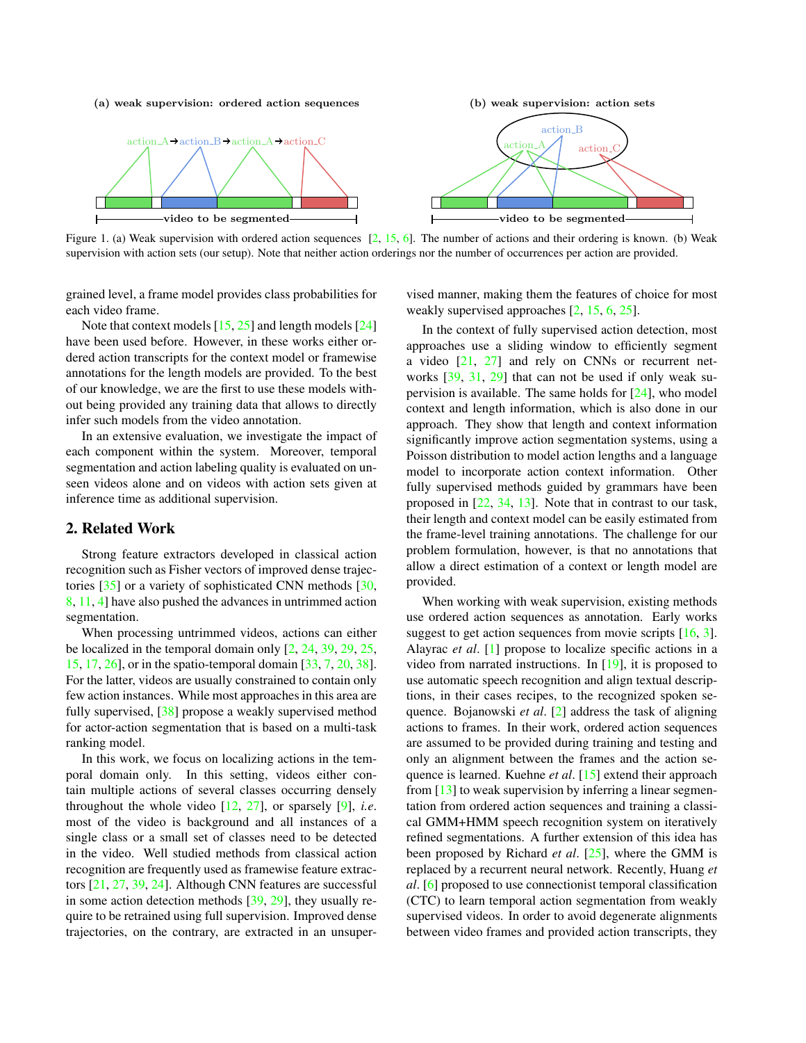#### <span id="page-1-1"></span>(a) weak supervision: ordered action sequences





<span id="page-1-0"></span>Figure 1. (a) Weak supervision with ordered action sequences  $[2, 15, 6]$  $[2, 15, 6]$  $[2, 15, 6]$  $[2, 15, 6]$  $[2, 15, 6]$ . The number of actions and their ordering is known. (b) Weak supervision with action sets (our setup). Note that neither action orderings nor the number of occurrences per action are provided.

grained level, a frame model provides class probabilities for each video frame.

Note that context models  $[15, 25]$  $[15, 25]$  $[15, 25]$  and length models  $[24]$ have been used before. However, in these works either ordered action transcripts for the context model or framewise annotations for the length models are provided. To the best of our knowledge, we are the first to use these models without being provided any training data that allows to directly infer such models from the video annotation.

In an extensive evaluation, we investigate the impact of each component within the system. Moreover, temporal segmentation and action labeling quality is evaluated on unseen videos alone and on videos with action sets given at inference time as additional supervision.

## 2. Related Work

Strong feature extractors developed in classical action recognition such as Fisher vectors of improved dense trajectories [\[35\]](#page-9-0) or a variety of sophisticated CNN methods [\[30,](#page-9-1) [8,](#page-8-14) [11,](#page-8-0) [4\]](#page-8-15) have also pushed the advances in untrimmed action segmentation.

When processing untrimmed videos, actions can either be localized in the temporal domain only  $[2, 24, 39, 29, 25,$  $[2, 24, 39, 29, 25,$  $[2, 24, 39, 29, 25,$  $[2, 24, 39, 29, 25,$  $[2, 24, 39, 29, 25,$  $[2, 24, 39, 29, 25,$  $[2, 24, 39, 29, 25,$  $[2, 24, 39, 29, 25,$  $[2, 24, 39, 29, 25,$ [15,](#page-8-11) [17,](#page-8-16) [26\]](#page-8-17), or in the spatio-temporal domain [\[33,](#page-9-4) [7,](#page-8-18) [20,](#page-8-19) [38\]](#page-9-5). For the latter, videos are usually constrained to contain only few action instances. While most approaches in this area are fully supervised, [\[38\]](#page-9-5) propose a weakly supervised method for actor-action segmentation that is based on a multi-task ranking model.

In this work, we focus on localizing actions in the temporal domain only. In this setting, videos either contain multiple actions of several classes occurring densely throughout the whole video [\[12,](#page-8-4) [27\]](#page-8-5), or sparsely [\[9\]](#page-8-2), *i.e*. most of the video is background and all instances of a single class or a small set of classes need to be detected in the video. Well studied methods from classical action recognition are frequently used as framewise feature extractors [\[21,](#page-8-6) [27,](#page-8-5) [39,](#page-9-3) [24\]](#page-8-8). Although CNN features are successful in some action detection methods [\[39,](#page-9-3) [29\]](#page-8-7), they usually require to be retrained using full supervision. Improved dense trajectories, on the contrary, are extracted in an unsupervised manner, making them the features of choice for most weakly supervised approaches [\[2,](#page-8-10) [15,](#page-8-11) [6,](#page-8-12) [25\]](#page-8-13).

In the context of fully supervised action detection, most approaches use a sliding window to efficiently segment a video [\[21,](#page-8-6) [27\]](#page-8-5) and rely on CNNs or recurrent networks [\[39,](#page-9-3) [31,](#page-9-6) [29\]](#page-8-7) that can not be used if only weak supervision is available. The same holds for [\[24\]](#page-8-8), who model context and length information, which is also done in our approach. They show that length and context information significantly improve action segmentation systems, using a Poisson distribution to model action lengths and a language model to incorporate action context information. Other fully supervised methods guided by grammars have been proposed in [\[22,](#page-8-20) [34,](#page-9-7) [13\]](#page-8-21). Note that in contrast to our task, their length and context model can be easily estimated from the frame-level training annotations. The challenge for our problem formulation, however, is that no annotations that allow a direct estimation of a context or length model are provided.

When working with weak supervision, existing methods use ordered action sequences as annotation. Early works suggest to get action sequences from movie scripts [\[16,](#page-8-22) [3\]](#page-8-23). Alayrac *et al*. [\[1\]](#page-8-24) propose to localize specific actions in a video from narrated instructions. In [\[19\]](#page-8-25), it is proposed to use automatic speech recognition and align textual descriptions, in their cases recipes, to the recognized spoken sequence. Bojanowski *et al*. [\[2\]](#page-8-10) address the task of aligning actions to frames. In their work, ordered action sequences are assumed to be provided during training and testing and only an alignment between the frames and the action sequence is learned. Kuehne *et al*. [\[15\]](#page-8-11) extend their approach from  $[13]$  to weak supervision by inferring a linear segmentation from ordered action sequences and training a classical GMM+HMM speech recognition system on iteratively refined segmentations. A further extension of this idea has been proposed by Richard *et al*. [\[25\]](#page-8-13), where the GMM is replaced by a recurrent neural network. Recently, Huang *et al*. [\[6\]](#page-8-12) proposed to use connectionist temporal classification (CTC) to learn temporal action segmentation from weakly supervised videos. In order to avoid degenerate alignments between video frames and provided action transcripts, they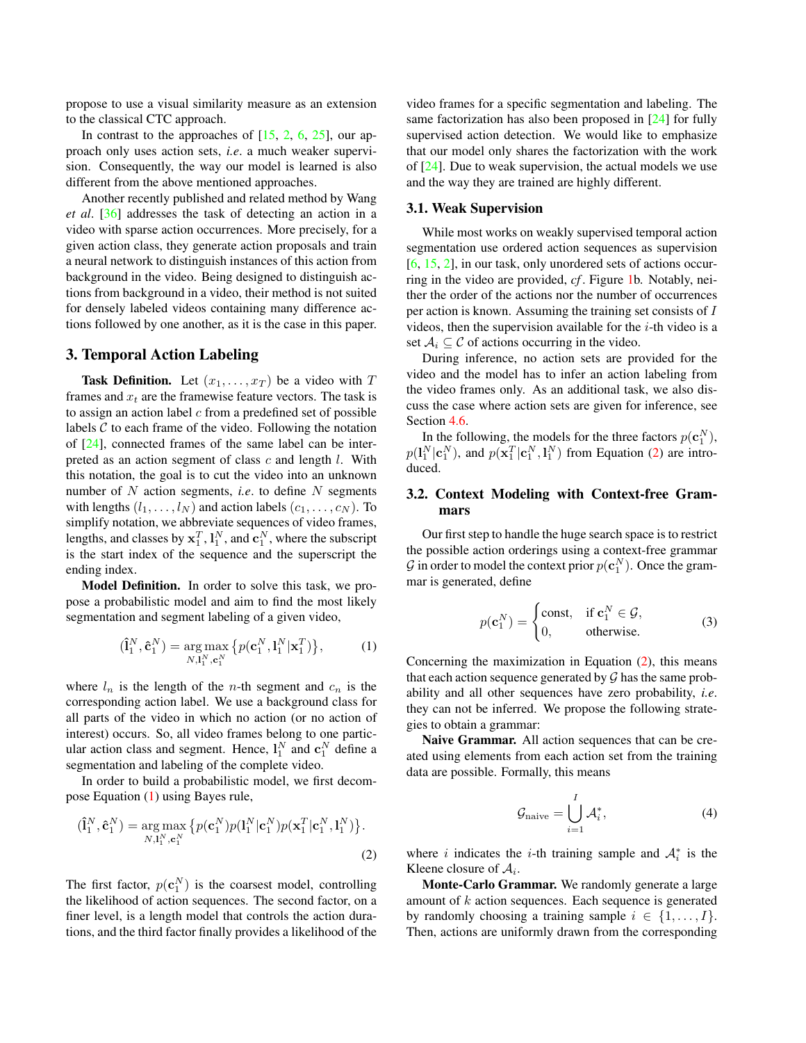<span id="page-2-3"></span>propose to use a visual similarity measure as an extension to the classical CTC approach.

In contrast to the approaches of  $[15, 2, 6, 25]$  $[15, 2, 6, 25]$  $[15, 2, 6, 25]$  $[15, 2, 6, 25]$  $[15, 2, 6, 25]$  $[15, 2, 6, 25]$  $[15, 2, 6, 25]$ , our approach only uses action sets, *i.e*. a much weaker supervision. Consequently, the way our model is learned is also different from the above mentioned approaches.

Another recently published and related method by Wang *et al*. [\[36\]](#page-9-8) addresses the task of detecting an action in a video with sparse action occurrences. More precisely, for a given action class, they generate action proposals and train a neural network to distinguish instances of this action from background in the video. Being designed to distinguish actions from background in a video, their method is not suited for densely labeled videos containing many difference actions followed by one another, as it is the case in this paper.

## 3. Temporal Action Labeling

**Task Definition.** Let  $(x_1, \ldots, x_T)$  be a video with T frames and  $x_t$  are the framewise feature vectors. The task is to assign an action label  $c$  from a predefined set of possible labels  $C$  to each frame of the video. Following the notation of [\[24\]](#page-8-8), connected frames of the same label can be interpreted as an action segment of class  $c$  and length  $l$ . With this notation, the goal is to cut the video into an unknown number of N action segments, *i.e*. to define N segments with lengths  $(l_1, \ldots, l_N)$  and action labels  $(c_1, \ldots, c_N)$ . To simplify notation, we abbreviate sequences of video frames, lengths, and classes by  $\mathbf{x}_1^T$ ,  $\mathbf{l}_1^N$ , and  $\mathbf{c}_1^N$ , where the subscript is the start index of the sequence and the superscript the ending index.

Model Definition. In order to solve this task, we propose a probabilistic model and aim to find the most likely segmentation and segment labeling of a given video,

$$
(\hat{\mathbf{l}}_1^N, \hat{\mathbf{c}}_1^N) = \underset{N, \mathbf{l}_1^N, \mathbf{c}_1^N}{\arg \max} \{ p(\mathbf{c}_1^N, \mathbf{l}_1^N | \mathbf{x}_1^T) \},
$$
 (1)

where  $l_n$  is the length of the *n*-th segment and  $c_n$  is the corresponding action label. We use a background class for all parts of the video in which no action (or no action of interest) occurs. So, all video frames belong to one particular action class and segment. Hence,  $l_1^N$  and  $c_1^N$  define a segmentation and labeling of the complete video.

In order to build a probabilistic model, we first decompose Equation [\(1\)](#page-2-0) using Bayes rule,

$$
(\hat{\mathbf{l}}_1^N, \hat{\mathbf{c}}_1^N) = \underset{N, \mathbf{l}_1^N, \mathbf{c}_1^N}{\arg \max} \{ p(\mathbf{c}_1^N) p(\mathbf{l}_1^N | \mathbf{c}_1^N) p(\mathbf{x}_1^T | \mathbf{c}_1^N, \mathbf{l}_1^N) \}.
$$
\n(2)

The first factor,  $p(c_1^N)$  is the coarsest model, controlling the likelihood of action sequences. The second factor, on a finer level, is a length model that controls the action durations, and the third factor finally provides a likelihood of the video frames for a specific segmentation and labeling. The same factorization has also been proposed in [\[24\]](#page-8-8) for fully supervised action detection. We would like to emphasize that our model only shares the factorization with the work of [\[24\]](#page-8-8). Due to weak supervision, the actual models we use and the way they are trained are highly different.

## 3.1. Weak Supervision

While most works on weakly supervised temporal action segmentation use ordered action sequences as supervision [\[6,](#page-8-12) [15,](#page-8-11) [2\]](#page-8-10), in our task, only unordered sets of actions occurring in the video are provided, *cf* . Figure [1b](#page-1-0). Notably, neither the order of the actions nor the number of occurrences per action is known. Assuming the training set consists of I videos, then the supervision available for the  $i$ -th video is a set  $A_i \subseteq \mathcal{C}$  of actions occurring in the video.

During inference, no action sets are provided for the video and the model has to infer an action labeling from the video frames only. As an additional task, we also discuss the case where action sets are given for inference, see Section [4.6.](#page-7-0)

In the following, the models for the three factors  $p(\mathbf{c}_1^N)$ ,  $p(\mathbf{l}_1^N | \mathbf{c}_1^N)$ , and  $p(\mathbf{x}_1^T | \mathbf{c}_1^N, \mathbf{l}_1^N)$  from Equation [\(2\)](#page-2-1) are introduced.

## <span id="page-2-2"></span>3.2. Context Modeling with Context-free Grammars

Our first step to handle the huge search space is to restrict the possible action orderings using a context-free grammar G in order to model the context prior  $p(\mathbf{c}_1^N)$ . Once the grammar is generated, define

$$
p(\mathbf{c}_1^N) = \begin{cases} \text{const}, & \text{if } \mathbf{c}_1^N \in \mathcal{G}, \\ 0, & \text{otherwise.} \end{cases}
$$
 (3)

<span id="page-2-0"></span>Concerning the maximization in Equation  $(2)$ , this means that each action sequence generated by  $\mathcal G$  has the same probability and all other sequences have zero probability, *i.e*. they can not be inferred. We propose the following strategies to obtain a grammar:

Naive Grammar. All action sequences that can be created using elements from each action set from the training data are possible. Formally, this means

$$
\mathcal{G}_{\text{naive}} = \bigcup_{i=1}^{I} \mathcal{A}_i^*,\tag{4}
$$

<span id="page-2-1"></span>where i indicates the i-th training sample and  $A_i^*$  is the Kleene closure of  $A_i$ .

Monte-Carlo Grammar. We randomly generate a large amount of k action sequences. Each sequence is generated by randomly choosing a training sample  $i \in \{1, \ldots, I\}$ . Then, actions are uniformly drawn from the corresponding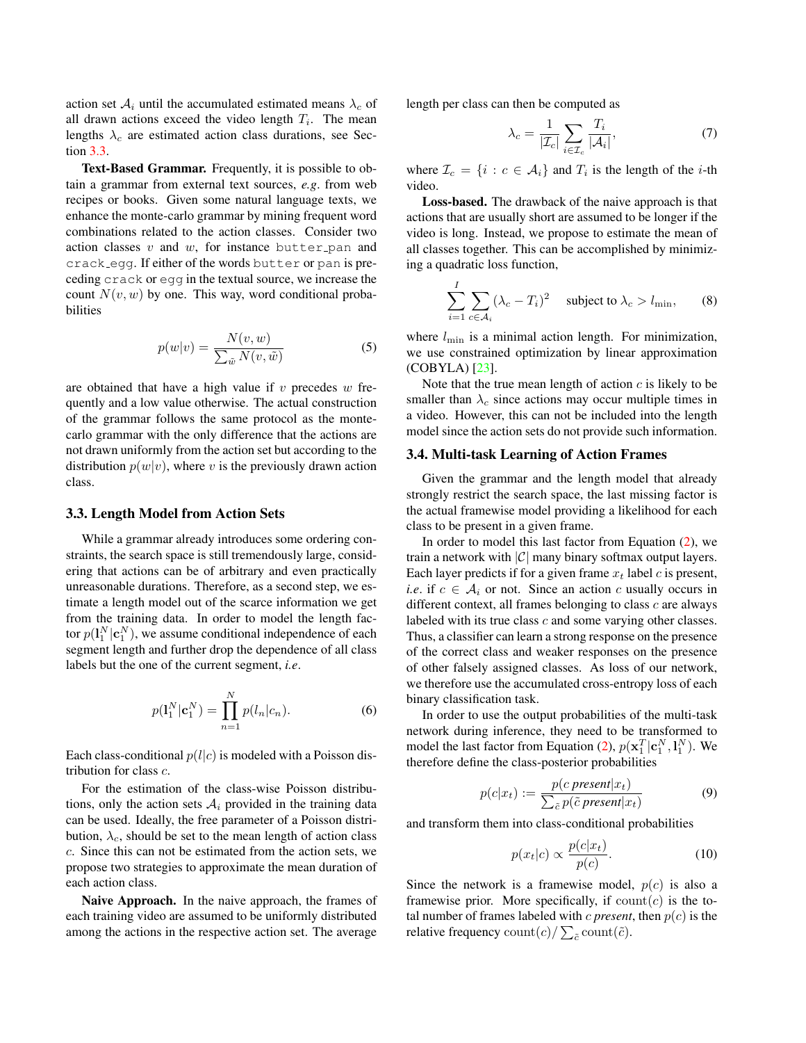<span id="page-3-3"></span>action set  $A_i$  until the accumulated estimated means  $\lambda_c$  of all drawn actions exceed the video length  $T_i$ . The mean lengths  $\lambda_c$  are estimated action class durations, see Section [3.3.](#page-3-0)

Text-Based Grammar. Frequently, it is possible to obtain a grammar from external text sources, *e.g*. from web recipes or books. Given some natural language texts, we enhance the monte-carlo grammar by mining frequent word combinations related to the action classes. Consider two action classes  $v$  and  $w$ , for instance butter pan and crack egg. If either of the words butter or pan is preceding crack or egg in the textual source, we increase the count  $N(v, w)$  by one. This way, word conditional probabilities

$$
p(w|v) = \frac{N(v, w)}{\sum_{\tilde{w}} N(v, \tilde{w})}
$$
 (5)

are obtained that have a high value if  $v$  precedes  $w$  frequently and a low value otherwise. The actual construction of the grammar follows the same protocol as the montecarlo grammar with the only difference that the actions are not drawn uniformly from the action set but according to the distribution  $p(w|v)$ , where v is the previously drawn action class.

#### <span id="page-3-0"></span>3.3. Length Model from Action Sets

While a grammar already introduces some ordering constraints, the search space is still tremendously large, considering that actions can be of arbitrary and even practically unreasonable durations. Therefore, as a second step, we estimate a length model out of the scarce information we get from the training data. In order to model the length factor  $p(\mathbf{l}_1^N|\mathbf{c}_1^N)$ , we assume conditional independence of each segment length and further drop the dependence of all class labels but the one of the current segment, *i.e*.

$$
p(\mathbf{l}_1^N|\mathbf{c}_1^N) = \prod_{n=1}^N p(l_n|c_n).
$$
 (6)

Each class-conditional  $p(l|c)$  is modeled with a Poisson distribution for class c.

For the estimation of the class-wise Poisson distributions, only the action sets  $A_i$  provided in the training data can be used. Ideally, the free parameter of a Poisson distribution,  $\lambda_c$ , should be set to the mean length of action class c. Since this can not be estimated from the action sets, we propose two strategies to approximate the mean duration of each action class.

Naive Approach. In the naive approach, the frames of each training video are assumed to be uniformly distributed among the actions in the respective action set. The average

length per class can then be computed as

$$
\lambda_c = \frac{1}{|\mathcal{I}_c|} \sum_{i \in \mathcal{I}_c} \frac{T_i}{|\mathcal{A}_i|},\tag{7}
$$

where  $\mathcal{I}_c = \{i : c \in \mathcal{A}_i\}$  and  $T_i$  is the length of the *i*-th video.

Loss-based. The drawback of the naive approach is that actions that are usually short are assumed to be longer if the video is long. Instead, we propose to estimate the mean of all classes together. This can be accomplished by minimizing a quadratic loss function,

<span id="page-3-2"></span>
$$
\sum_{i=1}^{I} \sum_{c \in \mathcal{A}_i} (\lambda_c - T_i)^2 \quad \text{subject to } \lambda_c > l_{\min}, \qquad (8)
$$

where  $l_{\text{min}}$  is a minimal action length. For minimization, we use constrained optimization by linear approximation (COBYLA) [\[23\]](#page-8-26).

Note that the true mean length of action  $c$  is likely to be smaller than  $\lambda_c$  since actions may occur multiple times in a video. However, this can not be included into the length model since the action sets do not provide such information.

#### <span id="page-3-1"></span>3.4. Multi-task Learning of Action Frames

Given the grammar and the length model that already strongly restrict the search space, the last missing factor is the actual framewise model providing a likelihood for each class to be present in a given frame.

In order to model this last factor from Equation [\(2\)](#page-2-1), we train a network with  $|\mathcal{C}|$  many binary softmax output layers. Each layer predicts if for a given frame  $x_t$  label c is present, *i.e.* if  $c \in A_i$  or not. Since an action c usually occurs in different context, all frames belonging to class  $c$  are always labeled with its true class c and some varying other classes. Thus, a classifier can learn a strong response on the presence of the correct class and weaker responses on the presence of other falsely assigned classes. As loss of our network, we therefore use the accumulated cross-entropy loss of each binary classification task.

In order to use the output probabilities of the multi-task network during inference, they need to be transformed to model the last factor from Equation [\(2\)](#page-2-1),  $p(\mathbf{x}_1^T | \mathbf{c}_1^N, \mathbf{l}_1^N)$ . We therefore define the class-posterior probabilities

$$
p(c|x_t) := \frac{p(c\,present|x_t)}{\sum_{\tilde{c}} p(\tilde{c}\,present|x_t)}\tag{9}
$$

and transform them into class-conditional probabilities

$$
p(x_t|c) \propto \frac{p(c|x_t)}{p(c)}.\tag{10}
$$

Since the network is a framewise model,  $p(c)$  is also a framewise prior. More specifically, if  $count(c)$  is the total number of frames labeled with *c* present, then  $p(c)$  is the relative frequency  $\text{count}(c) / \sum_{\tilde{c}} \text{count}(\tilde{c})$ .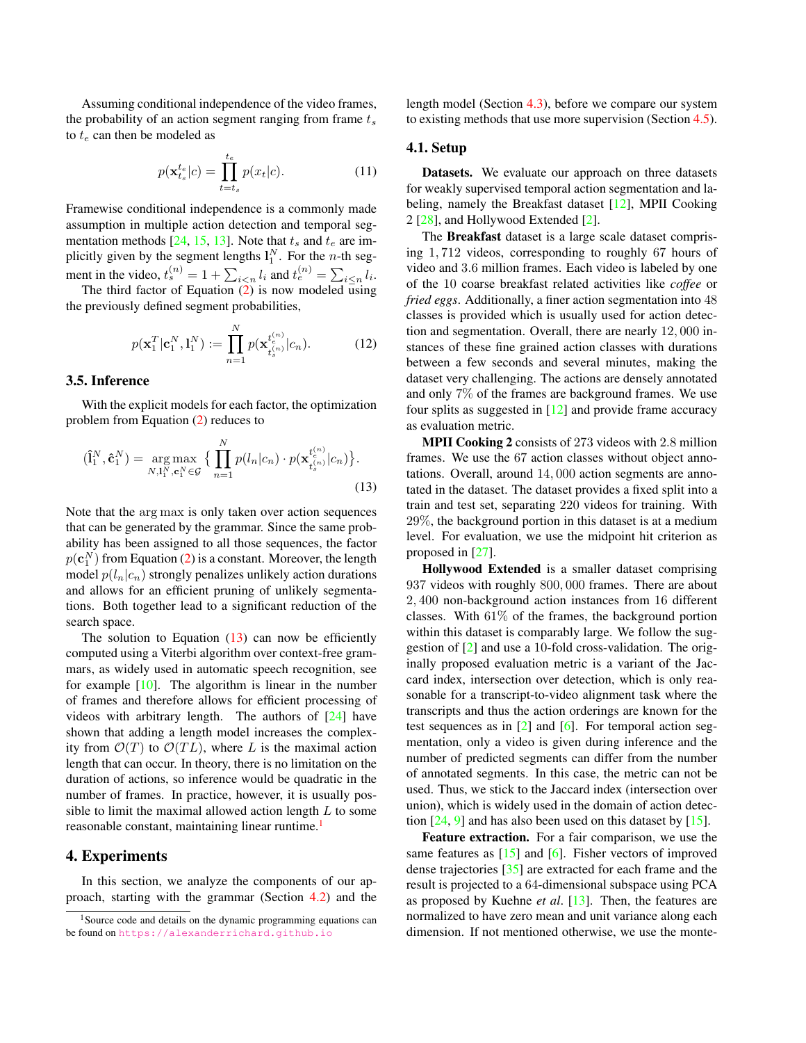<span id="page-4-2"></span>Assuming conditional independence of the video frames, the probability of an action segment ranging from frame  $t_s$ to  $t_e$  can then be modeled as

$$
p(\mathbf{x}_{t_s}^{t_e}|c) = \prod_{t=t_s}^{t_e} p(x_t|c). \tag{11}
$$

Framewise conditional independence is a commonly made assumption in multiple action detection and temporal seg-mentation methods [\[24,](#page-8-8) [15,](#page-8-11) [13\]](#page-8-21). Note that  $t_s$  and  $t_e$  are implicitly given by the segment lengths  $l_1^N$ . For the *n*-th segment in the video,  $t_s^{(n)} = 1 + \sum_{i < n} l_i$  and  $t_e^{(n)} = \sum_{i \le n} l_i$ .

The third factor of Equation  $\overline{2}$  is now modeled using the previously defined segment probabilities,

$$
p(\mathbf{x}_1^T | \mathbf{c}_1^N, \mathbf{l}_1^N) := \prod_{n=1}^N p(\mathbf{x}_{t_s^{(n)}}^{t_n^{(n)}} | c_n).
$$
 (12)

#### 3.5. Inference

With the explicit models for each factor, the optimization problem from Equation [\(2\)](#page-2-1) reduces to

$$
(\hat{\mathbf{l}}_1^N, \hat{\mathbf{c}}_1^N) = \underset{N, \mathbf{l}_1^N, \mathbf{c}_1^N \in \mathcal{G}}{\arg \max} \big\{ \prod_{n=1}^N p(l_n|c_n) \cdot p(\mathbf{x}_{t_s}^{t_{\{n\}}^{(n)}}|c_n) \big\}.
$$
\n(13)

Note that the arg max is only taken over action sequences that can be generated by the grammar. Since the same probability has been assigned to all those sequences, the factor  $p(\mathbf{c}_1^N)$  from Equation [\(2\)](#page-2-1) is a constant. Moreover, the length model  $p(l_n|c_n)$  strongly penalizes unlikely action durations and allows for an efficient pruning of unlikely segmentations. Both together lead to a significant reduction of the search space.

The solution to Equation  $(13)$  can now be efficiently computed using a Viterbi algorithm over context-free grammars, as widely used in automatic speech recognition, see for example [\[10\]](#page-8-27). The algorithm is linear in the number of frames and therefore allows for efficient processing of videos with arbitrary length. The authors of [\[24\]](#page-8-8) have shown that adding a length model increases the complexity from  $\mathcal{O}(T)$  to  $\mathcal{O}(TL)$ , where L is the maximal action length that can occur. In theory, there is no limitation on the duration of actions, so inference would be quadratic in the number of frames. In practice, however, it is usually possible to limit the maximal allowed action length  $L$  to some reasonable constant, maintaining linear runtime.<sup>[1](#page-4-1)</sup>

## 4. Experiments

In this section, we analyze the components of our approach, starting with the grammar (Section [4.2\)](#page-5-0) and the length model (Section [4.3\)](#page-5-1), before we compare our system to existing methods that use more supervision (Section [4.5\)](#page-6-0).

### 4.1. Setup

Datasets. We evaluate our approach on three datasets for weakly supervised temporal action segmentation and labeling, namely the Breakfast dataset [\[12\]](#page-8-4), MPII Cooking 2 [\[28\]](#page-8-28), and Hollywood Extended [\[2\]](#page-8-10).

The Breakfast dataset is a large scale dataset comprising 1, 712 videos, corresponding to roughly 67 hours of video and 3.6 million frames. Each video is labeled by one of the 10 coarse breakfast related activities like *coffee* or *fried eggs*. Additionally, a finer action segmentation into 48 classes is provided which is usually used for action detection and segmentation. Overall, there are nearly 12, 000 instances of these fine grained action classes with durations between a few seconds and several minutes, making the dataset very challenging. The actions are densely annotated and only 7% of the frames are background frames. We use four splits as suggested in  $[12]$  and provide frame accuracy as evaluation metric.

<span id="page-4-0"></span>MPII Cooking 2 consists of 273 videos with 2.8 million frames. We use the 67 action classes without object annotations. Overall, around 14, 000 action segments are annotated in the dataset. The dataset provides a fixed split into a train and test set, separating 220 videos for training. With 29%, the background portion in this dataset is at a medium level. For evaluation, we use the midpoint hit criterion as proposed in [\[27\]](#page-8-5).

Hollywood Extended is a smaller dataset comprising 937 videos with roughly 800, 000 frames. There are about 2, 400 non-background action instances from 16 different classes. With 61% of the frames, the background portion within this dataset is comparably large. We follow the suggestion of [\[2\]](#page-8-10) and use a 10-fold cross-validation. The originally proposed evaluation metric is a variant of the Jaccard index, intersection over detection, which is only reasonable for a transcript-to-video alignment task where the transcripts and thus the action orderings are known for the test sequences as in  $\lceil 2 \rceil$  and  $\lceil 6 \rceil$ . For temporal action segmentation, only a video is given during inference and the number of predicted segments can differ from the number of annotated segments. In this case, the metric can not be used. Thus, we stick to the Jaccard index (intersection over union), which is widely used in the domain of action detection  $[24, 9]$  $[24, 9]$  $[24, 9]$  and has also been used on this dataset by  $[15]$ .

Feature extraction. For a fair comparison, we use the same features as  $[15]$  and  $[6]$ . Fisher vectors of improved dense trajectories [\[35\]](#page-9-0) are extracted for each frame and the result is projected to a 64-dimensional subspace using PCA as proposed by Kuehne *et al*. [\[13\]](#page-8-21). Then, the features are normalized to have zero mean and unit variance along each dimension. If not mentioned otherwise, we use the monte-

<span id="page-4-1"></span><sup>&</sup>lt;sup>1</sup>Source code and details on the dynamic programming equations can be found on <https://alexanderrichard.github.io>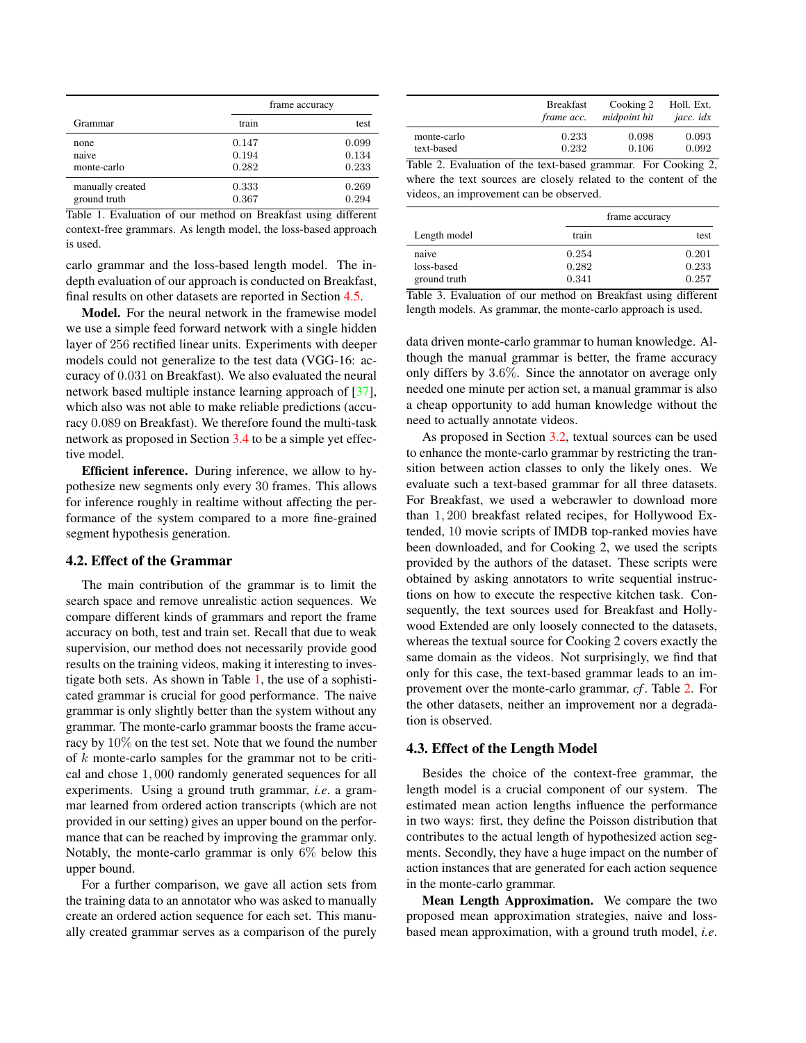<span id="page-5-5"></span>

|                  | frame accuracy |  |       |
|------------------|----------------|--|-------|
| Grammar          | train          |  | test  |
| none             | 0.147          |  | 0.099 |
| naive            | 0.194          |  | 0.134 |
| monte-carlo      | 0.282          |  | 0.233 |
| manually created | 0.333          |  | 0.269 |
| ground truth     | 0.367          |  | 0.294 |

<span id="page-5-2"></span>Table 1. Evaluation of our method on Breakfast using different context-free grammars. As length model, the loss-based approach is used.

carlo grammar and the loss-based length model. The indepth evaluation of our approach is conducted on Breakfast, final results on other datasets are reported in Section [4.5.](#page-6-0)

Model. For the neural network in the framewise model we use a simple feed forward network with a single hidden layer of 256 rectified linear units. Experiments with deeper models could not generalize to the test data (VGG-16: accuracy of 0.031 on Breakfast). We also evaluated the neural network based multiple instance learning approach of [\[37\]](#page-9-9), which also was not able to make reliable predictions (accuracy 0.089 on Breakfast). We therefore found the multi-task network as proposed in Section [3.4](#page-3-1) to be a simple yet effective model.

Efficient inference. During inference, we allow to hypothesize new segments only every 30 frames. This allows for inference roughly in realtime without affecting the performance of the system compared to a more fine-grained segment hypothesis generation.

#### <span id="page-5-0"></span>4.2. Effect of the Grammar

The main contribution of the grammar is to limit the search space and remove unrealistic action sequences. We compare different kinds of grammars and report the frame accuracy on both, test and train set. Recall that due to weak supervision, our method does not necessarily provide good results on the training videos, making it interesting to investigate both sets. As shown in Table [1,](#page-5-2) the use of a sophisticated grammar is crucial for good performance. The naive grammar is only slightly better than the system without any grammar. The monte-carlo grammar boosts the frame accuracy by 10% on the test set. Note that we found the number of  $k$  monte-carlo samples for the grammar not to be critical and chose 1, 000 randomly generated sequences for all experiments. Using a ground truth grammar, *i.e*. a grammar learned from ordered action transcripts (which are not provided in our setting) gives an upper bound on the performance that can be reached by improving the grammar only. Notably, the monte-carlo grammar is only 6% below this upper bound.

For a further comparison, we gave all action sets from the training data to an annotator who was asked to manually create an ordered action sequence for each set. This manually created grammar serves as a comparison of the purely

|             | <b>Breakfast</b>  | Cooking 2    | Holl. Ext. |
|-------------|-------------------|--------------|------------|
|             | <i>frame acc.</i> | midpoint hit | jacc. idx  |
| monte-carlo | 0.233             | 0.098        | 0.093      |
| text-based  | 0.232             | 0.106        | 0.092      |

<span id="page-5-3"></span>Table 2. Evaluation of the text-based grammar. For Cooking 2, where the text sources are closely related to the content of the videos, an improvement can be observed.

|                                     | frame accuracy          |                         |
|-------------------------------------|-------------------------|-------------------------|
| Length model                        | train                   | test                    |
| naive<br>loss-based<br>ground truth | 0.254<br>0.282<br>0.341 | 0.201<br>0.233<br>0.257 |

<span id="page-5-4"></span>Table 3. Evaluation of our method on Breakfast using different length models. As grammar, the monte-carlo approach is used.

data driven monte-carlo grammar to human knowledge. Although the manual grammar is better, the frame accuracy only differs by 3.6%. Since the annotator on average only needed one minute per action set, a manual grammar is also a cheap opportunity to add human knowledge without the need to actually annotate videos.

As proposed in Section [3.2,](#page-2-2) textual sources can be used to enhance the monte-carlo grammar by restricting the transition between action classes to only the likely ones. We evaluate such a text-based grammar for all three datasets. For Breakfast, we used a webcrawler to download more than 1, 200 breakfast related recipes, for Hollywood Extended, 10 movie scripts of IMDB top-ranked movies have been downloaded, and for Cooking 2, we used the scripts provided by the authors of the dataset. These scripts were obtained by asking annotators to write sequential instructions on how to execute the respective kitchen task. Consequently, the text sources used for Breakfast and Hollywood Extended are only loosely connected to the datasets, whereas the textual source for Cooking 2 covers exactly the same domain as the videos. Not surprisingly, we find that only for this case, the text-based grammar leads to an improvement over the monte-carlo grammar, *cf* . Table [2.](#page-5-3) For the other datasets, neither an improvement nor a degradation is observed.

#### <span id="page-5-1"></span>4.3. Effect of the Length Model

Besides the choice of the context-free grammar, the length model is a crucial component of our system. The estimated mean action lengths influence the performance in two ways: first, they define the Poisson distribution that contributes to the actual length of hypothesized action segments. Secondly, they have a huge impact on the number of action instances that are generated for each action sequence in the monte-carlo grammar.

Mean Length Approximation. We compare the two proposed mean approximation strategies, naive and lossbased mean approximation, with a ground truth model, *i.e*.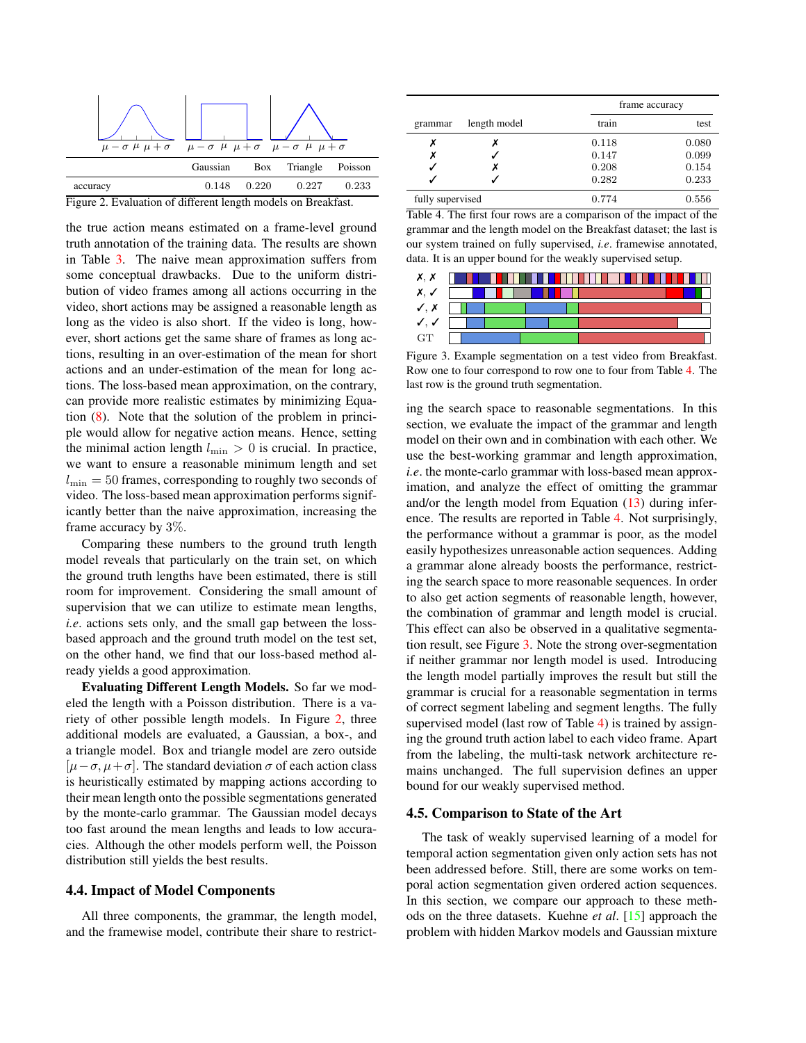<span id="page-6-4"></span>

<span id="page-6-1"></span>the true action means estimated on a frame-level ground truth annotation of the training data. The results are shown in Table [3.](#page-5-4) The naive mean approximation suffers from some conceptual drawbacks. Due to the uniform distribution of video frames among all actions occurring in the video, short actions may be assigned a reasonable length as long as the video is also short. If the video is long, however, short actions get the same share of frames as long actions, resulting in an over-estimation of the mean for short actions and an under-estimation of the mean for long actions. The loss-based mean approximation, on the contrary, can provide more realistic estimates by minimizing Equation [\(8\)](#page-3-2). Note that the solution of the problem in principle would allow for negative action means. Hence, setting the minimal action length  $l_{\min} > 0$  is crucial. In practice, we want to ensure a reasonable minimum length and set  $l_{\text{min}} = 50$  frames, corresponding to roughly two seconds of video. The loss-based mean approximation performs significantly better than the naive approximation, increasing the frame accuracy by 3%.

Comparing these numbers to the ground truth length model reveals that particularly on the train set, on which the ground truth lengths have been estimated, there is still room for improvement. Considering the small amount of supervision that we can utilize to estimate mean lengths, *i.e*. actions sets only, and the small gap between the lossbased approach and the ground truth model on the test set, on the other hand, we find that our loss-based method already yields a good approximation.

Evaluating Different Length Models. So far we modeled the length with a Poisson distribution. There is a variety of other possible length models. In Figure [2,](#page-6-1) three additional models are evaluated, a Gaussian, a box-, and a triangle model. Box and triangle model are zero outside  $[\mu-\sigma, \mu+\sigma]$ . The standard deviation  $\sigma$  of each action class is heuristically estimated by mapping actions according to their mean length onto the possible segmentations generated by the monte-carlo grammar. The Gaussian model decays too fast around the mean lengths and leads to low accuracies. Although the other models perform well, the Poisson distribution still yields the best results.

#### 4.4. Impact of Model Components

All three components, the grammar, the length model, and the framewise model, contribute their share to restrict-

|                  |              | frame accuracy |       |
|------------------|--------------|----------------|-------|
| grammar          | length model | train          | test  |
| х                |              | 0.118          | 0.080 |
| х                |              | 0.147          | 0.099 |
|                  |              | 0.208          | 0.154 |
|                  |              | 0.282          | 0.233 |
| fully supervised |              | 0.774          | 0.556 |

<span id="page-6-2"></span>Table 4. The first four rows are a comparison of the impact of the grammar and the length model on the Breakfast dataset; the last is our system trained on fully supervised, *i.e*. framewise annotated, data. It is an upper bound for the weakly supervised setup.

| x.                                     | an Mar<br>п | . | . |
|----------------------------------------|-------------|---|---|
|                                        | - 1         | ╻ |   |
| $\checkmark$                           |             |   |   |
| $\checkmark$ .<br>$\cdot$ $\checkmark$ |             |   |   |
| $G_{\rm T}$                            |             |   |   |

<span id="page-6-3"></span>Figure 3. Example segmentation on a test video from Breakfast. Row one to four correspond to row one to four from Table [4.](#page-6-2) The last row is the ground truth segmentation.

ing the search space to reasonable segmentations. In this section, we evaluate the impact of the grammar and length model on their own and in combination with each other. We use the best-working grammar and length approximation, *i.e*. the monte-carlo grammar with loss-based mean approximation, and analyze the effect of omitting the grammar and/or the length model from Equation  $(13)$  during inference. The results are reported in Table [4.](#page-6-2) Not surprisingly, the performance without a grammar is poor, as the model easily hypothesizes unreasonable action sequences. Adding a grammar alone already boosts the performance, restricting the search space to more reasonable sequences. In order to also get action segments of reasonable length, however, the combination of grammar and length model is crucial. This effect can also be observed in a qualitative segmentation result, see Figure [3.](#page-6-3) Note the strong over-segmentation if neither grammar nor length model is used. Introducing the length model partially improves the result but still the grammar is crucial for a reasonable segmentation in terms of correct segment labeling and segment lengths. The fully supervised model (last row of Table [4\)](#page-6-2) is trained by assigning the ground truth action label to each video frame. Apart from the labeling, the multi-task network architecture remains unchanged. The full supervision defines an upper bound for our weakly supervised method.

#### <span id="page-6-0"></span>4.5. Comparison to State of the Art

The task of weakly supervised learning of a model for temporal action segmentation given only action sets has not been addressed before. Still, there are some works on temporal action segmentation given ordered action sequences. In this section, we compare our approach to these methods on the three datasets. Kuehne *et al*. [\[15\]](#page-8-11) approach the problem with hidden Markov models and Gaussian mixture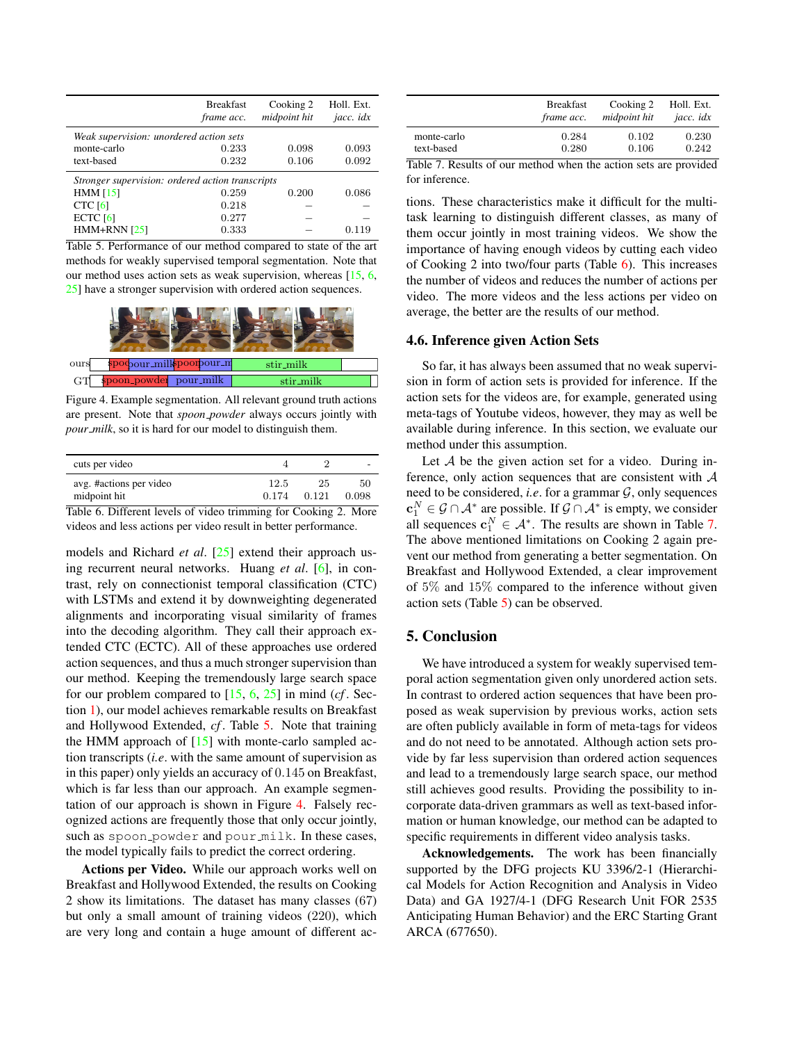<span id="page-7-5"></span>

|                                                  | <b>Breakfast</b><br>frame acc. | Cooking 2<br>midpoint hit | Holl. Ext.<br>jacc. idx |
|--------------------------------------------------|--------------------------------|---------------------------|-------------------------|
| Weak supervision: unordered action sets          |                                |                           |                         |
| monte-carlo                                      | 0.233                          | 0.098                     | 0.093                   |
| text-based                                       | 0.232                          | 0.106                     | 0.092                   |
| Stronger supervision: ordered action transcripts |                                |                           |                         |
| HMM $[15]$                                       | 0.259                          | 0.200                     | 0.086                   |
| <b>CTC</b> [6]                                   | 0.218                          |                           |                         |
| ECTC $[6]$                                       | 0.277                          |                           |                         |
| $HMM+RNN$ [25]                                   | 0.333                          |                           | 0.119                   |
|                                                  |                                |                           |                         |

<span id="page-7-1"></span>Table 5. Performance of our method compared to state of the art methods for weakly supervised temporal segmentation. Note that our method uses action sets as weak supervision, whereas [\[15,](#page-8-11) [6,](#page-8-12) [25\]](#page-8-13) have a stronger supervision with ordered action sequences.



Figure 4. Example segmentation. All relevant ground truth actions are present. Note that *spoon powder* always occurs jointly with *pour milk*, so it is hard for our model to distinguish them.

<span id="page-7-2"></span>

| cuts per video                        |       |       | $\overline{\phantom{a}}$ |
|---------------------------------------|-------|-------|--------------------------|
| avg. #actions per video               | 12.5  | 25    | 50                       |
| midpoint hit                          | 0.174 | 0.121 | 0.098                    |
| $\epsilon$ $\mathbb{R}$ $ce$<br>m 1 1 |       |       | $\sim$ $\cdot$           |

<span id="page-7-3"></span>Table 6. Different levels of video trimming for Cooking 2. More videos and less actions per video result in better performance.

models and Richard *et al*. [\[25\]](#page-8-13) extend their approach using recurrent neural networks. Huang *et al*. [\[6\]](#page-8-12), in contrast, rely on connectionist temporal classification (CTC) with LSTMs and extend it by downweighting degenerated alignments and incorporating visual similarity of frames into the decoding algorithm. They call their approach extended CTC (ECTC). All of these approaches use ordered action sequences, and thus a much stronger supervision than our method. Keeping the tremendously large search space for our problem compared to [\[15,](#page-8-11) [6,](#page-8-12) [25\]](#page-8-13) in mind (*cf* . Section [1\)](#page-0-0), our model achieves remarkable results on Breakfast and Hollywood Extended, *cf* . Table [5.](#page-7-1) Note that training the HMM approach of  $[15]$  with monte-carlo sampled action transcripts (*i.e*. with the same amount of supervision as in this paper) only yields an accuracy of 0.145 on Breakfast, which is far less than our approach. An example segmentation of our approach is shown in Figure [4.](#page-7-2) Falsely recognized actions are frequently those that only occur jointly, such as spoon powder and pour milk. In these cases, the model typically fails to predict the correct ordering.

Actions per Video. While our approach works well on Breakfast and Hollywood Extended, the results on Cooking 2 show its limitations. The dataset has many classes (67) but only a small amount of training videos (220), which are very long and contain a huge amount of different ac-

|             | <b>Breakfast</b> | Cooking 2    | Holl. Ext. |
|-------------|------------------|--------------|------------|
|             | frame acc.       | midpoint hit | jacc. idx  |
| monte-carlo | 0.284            | 0.102        | 0.230      |
| text-based  | 0.280            | 0.106        | 0.242      |

<span id="page-7-4"></span>Table 7. Results of our method when the action sets are provided for inference.

tions. These characteristics make it difficult for the multitask learning to distinguish different classes, as many of them occur jointly in most training videos. We show the importance of having enough videos by cutting each video of Cooking 2 into two/four parts (Table [6\)](#page-7-3). This increases the number of videos and reduces the number of actions per video. The more videos and the less actions per video on average, the better are the results of our method.

#### <span id="page-7-0"></span>4.6. Inference given Action Sets

So far, it has always been assumed that no weak supervision in form of action sets is provided for inference. If the action sets for the videos are, for example, generated using meta-tags of Youtube videos, however, they may as well be available during inference. In this section, we evaluate our method under this assumption.

Let  $A$  be the given action set for a video. During inference, only action sequences that are consistent with A need to be considered, *i.e.* for a grammar  $G$ , only sequences  $\mathbf{c}_1^N \in \mathcal{G} \cap \mathcal{A}^*$  are possible. If  $\mathcal{G} \cap \mathcal{A}^*$  is empty, we consider all sequences  $\mathbf{c}_1^N \in \mathcal{A}^*$ . The results are shown in Table [7.](#page-7-4) The above mentioned limitations on Cooking 2 again prevent our method from generating a better segmentation. On Breakfast and Hollywood Extended, a clear improvement of 5% and 15% compared to the inference without given action sets (Table [5\)](#page-7-1) can be observed.

## 5. Conclusion

We have introduced a system for weakly supervised temporal action segmentation given only unordered action sets. In contrast to ordered action sequences that have been proposed as weak supervision by previous works, action sets are often publicly available in form of meta-tags for videos and do not need to be annotated. Although action sets provide by far less supervision than ordered action sequences and lead to a tremendously large search space, our method still achieves good results. Providing the possibility to incorporate data-driven grammars as well as text-based information or human knowledge, our method can be adapted to specific requirements in different video analysis tasks.

Acknowledgements. The work has been financially supported by the DFG projects KU 3396/2-1 (Hierarchical Models for Action Recognition and Analysis in Video Data) and GA 1927/4-1 (DFG Research Unit FOR 2535 Anticipating Human Behavior) and the ERC Starting Grant ARCA (677650).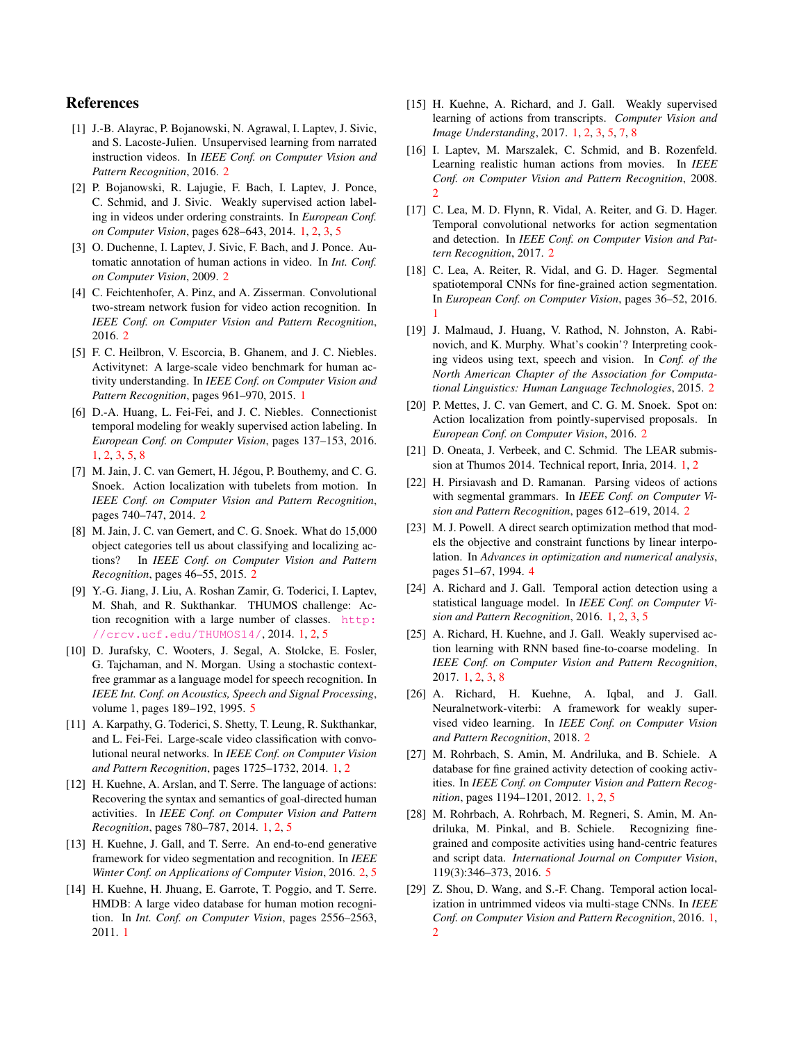## References

- <span id="page-8-24"></span>[1] J.-B. Alayrac, P. Bojanowski, N. Agrawal, I. Laptev, J. Sivic, and S. Lacoste-Julien. Unsupervised learning from narrated instruction videos. In *IEEE Conf. on Computer Vision and Pattern Recognition*, 2016. [2](#page-1-1)
- <span id="page-8-10"></span>[2] P. Bojanowski, R. Lajugie, F. Bach, I. Laptev, J. Ponce, C. Schmid, and J. Sivic. Weakly supervised action labeling in videos under ordering constraints. In *European Conf. on Computer Vision*, pages 628–643, 2014. [1,](#page-0-1) [2,](#page-1-1) [3,](#page-2-3) [5](#page-4-2)
- <span id="page-8-23"></span>[3] O. Duchenne, I. Laptev, J. Sivic, F. Bach, and J. Ponce. Automatic annotation of human actions in video. In *Int. Conf. on Computer Vision*, 2009. [2](#page-1-1)
- <span id="page-8-15"></span>[4] C. Feichtenhofer, A. Pinz, and A. Zisserman. Convolutional two-stream network fusion for video action recognition. In *IEEE Conf. on Computer Vision and Pattern Recognition*, 2016. [2](#page-1-1)
- <span id="page-8-3"></span>[5] F. C. Heilbron, V. Escorcia, B. Ghanem, and J. C. Niebles. Activitynet: A large-scale video benchmark for human activity understanding. In *IEEE Conf. on Computer Vision and Pattern Recognition*, pages 961–970, 2015. [1](#page-0-1)
- <span id="page-8-12"></span>[6] D.-A. Huang, L. Fei-Fei, and J. C. Niebles. Connectionist temporal modeling for weakly supervised action labeling. In *European Conf. on Computer Vision*, pages 137–153, 2016. [1,](#page-0-1) [2,](#page-1-1) [3,](#page-2-3) [5,](#page-4-2) [8](#page-7-5)
- <span id="page-8-18"></span>[7] M. Jain, J. C. van Gemert, H. Jégou, P. Bouthemy, and C. G. Snoek. Action localization with tubelets from motion. In *IEEE Conf. on Computer Vision and Pattern Recognition*, pages 740–747, 2014. [2](#page-1-1)
- <span id="page-8-14"></span>[8] M. Jain, J. C. van Gemert, and C. G. Snoek. What do 15,000 object categories tell us about classifying and localizing actions? In *IEEE Conf. on Computer Vision and Pattern Recognition*, pages 46–55, 2015. [2](#page-1-1)
- <span id="page-8-2"></span>[9] Y.-G. Jiang, J. Liu, A. Roshan Zamir, G. Toderici, I. Laptev, M. Shah, and R. Sukthankar. THUMOS challenge: Action recognition with a large number of classes. [http:](http://crcv.ucf.edu/THUMOS14/) [//crcv.ucf.edu/THUMOS14/](http://crcv.ucf.edu/THUMOS14/), 2014. [1,](#page-0-1) [2,](#page-1-1) [5](#page-4-2)
- <span id="page-8-27"></span>[10] D. Jurafsky, C. Wooters, J. Segal, A. Stolcke, E. Fosler, G. Tajchaman, and N. Morgan. Using a stochastic contextfree grammar as a language model for speech recognition. In *IEEE Int. Conf. on Acoustics, Speech and Signal Processing*, volume 1, pages 189–192, 1995. [5](#page-4-2)
- <span id="page-8-0"></span>[11] A. Karpathy, G. Toderici, S. Shetty, T. Leung, R. Sukthankar, and L. Fei-Fei. Large-scale video classification with convolutional neural networks. In *IEEE Conf. on Computer Vision and Pattern Recognition*, pages 1725–1732, 2014. [1,](#page-0-1) [2](#page-1-1)
- <span id="page-8-4"></span>[12] H. Kuehne, A. Arslan, and T. Serre. The language of actions: Recovering the syntax and semantics of goal-directed human activities. In *IEEE Conf. on Computer Vision and Pattern Recognition*, pages 780–787, 2014. [1,](#page-0-1) [2,](#page-1-1) [5](#page-4-2)
- <span id="page-8-21"></span>[13] H. Kuehne, J. Gall, and T. Serre. An end-to-end generative framework for video segmentation and recognition. In *IEEE Winter Conf. on Applications of Computer Vision*, 2016. [2,](#page-1-1) [5](#page-4-2)
- <span id="page-8-1"></span>[14] H. Kuehne, H. Jhuang, E. Garrote, T. Poggio, and T. Serre. HMDB: A large video database for human motion recognition. In *Int. Conf. on Computer Vision*, pages 2556–2563, 2011. [1](#page-0-1)
- <span id="page-8-11"></span>[15] H. Kuehne, A. Richard, and J. Gall. Weakly supervised learning of actions from transcripts. *Computer Vision and Image Understanding*, 2017. [1,](#page-0-1) [2,](#page-1-1) [3,](#page-2-3) [5,](#page-4-2) [7,](#page-6-4) [8](#page-7-5)
- <span id="page-8-22"></span>[16] I. Laptev, M. Marszalek, C. Schmid, and B. Rozenfeld. Learning realistic human actions from movies. In *IEEE Conf. on Computer Vision and Pattern Recognition*, 2008. [2](#page-1-1)
- <span id="page-8-16"></span>[17] C. Lea, M. D. Flynn, R. Vidal, A. Reiter, and G. D. Hager. Temporal convolutional networks for action segmentation and detection. In *IEEE Conf. on Computer Vision and Pattern Recognition*, 2017. [2](#page-1-1)
- <span id="page-8-9"></span>[18] C. Lea, A. Reiter, R. Vidal, and G. D. Hager. Segmental spatiotemporal CNNs for fine-grained action segmentation. In *European Conf. on Computer Vision*, pages 36–52, 2016. [1](#page-0-1)
- <span id="page-8-25"></span>[19] J. Malmaud, J. Huang, V. Rathod, N. Johnston, A. Rabinovich, and K. Murphy. What's cookin'? Interpreting cooking videos using text, speech and vision. In *Conf. of the North American Chapter of the Association for Computational Linguistics: Human Language Technologies*, 2015. [2](#page-1-1)
- <span id="page-8-19"></span>[20] P. Mettes, J. C. van Gemert, and C. G. M. Snoek. Spot on: Action localization from pointly-supervised proposals. In *European Conf. on Computer Vision*, 2016. [2](#page-1-1)
- <span id="page-8-6"></span>[21] D. Oneata, J. Verbeek, and C. Schmid. The LEAR submission at Thumos 2014. Technical report, Inria, 2014. [1,](#page-0-1) [2](#page-1-1)
- <span id="page-8-20"></span>[22] H. Pirsiavash and D. Ramanan. Parsing videos of actions with segmental grammars. In *IEEE Conf. on Computer Vision and Pattern Recognition*, pages 612–619, 2014. [2](#page-1-1)
- <span id="page-8-26"></span>[23] M. J. Powell. A direct search optimization method that models the objective and constraint functions by linear interpolation. In *Advances in optimization and numerical analysis*, pages 51–67, 1994. [4](#page-3-3)
- <span id="page-8-8"></span>[24] A. Richard and J. Gall. Temporal action detection using a statistical language model. In *IEEE Conf. on Computer Vision and Pattern Recognition*, 2016. [1,](#page-0-1) [2,](#page-1-1) [3,](#page-2-3) [5](#page-4-2)
- <span id="page-8-13"></span>[25] A. Richard, H. Kuehne, and J. Gall. Weakly supervised action learning with RNN based fine-to-coarse modeling. In *IEEE Conf. on Computer Vision and Pattern Recognition*, 2017. [1,](#page-0-1) [2,](#page-1-1) [3,](#page-2-3) [8](#page-7-5)
- <span id="page-8-17"></span>[26] A. Richard, H. Kuehne, A. Iqbal, and J. Gall. Neuralnetwork-viterbi: A framework for weakly supervised video learning. In *IEEE Conf. on Computer Vision and Pattern Recognition*, 2018. [2](#page-1-1)
- <span id="page-8-5"></span>[27] M. Rohrbach, S. Amin, M. Andriluka, and B. Schiele. A database for fine grained activity detection of cooking activities. In *IEEE Conf. on Computer Vision and Pattern Recognition*, pages 1194–1201, 2012. [1,](#page-0-1) [2,](#page-1-1) [5](#page-4-2)
- <span id="page-8-28"></span>[28] M. Rohrbach, A. Rohrbach, M. Regneri, S. Amin, M. Andriluka, M. Pinkal, and B. Schiele. Recognizing finegrained and composite activities using hand-centric features and script data. *International Journal on Computer Vision*, 119(3):346–373, 2016. [5](#page-4-2)
- <span id="page-8-7"></span>[29] Z. Shou, D. Wang, and S.-F. Chang. Temporal action localization in untrimmed videos via multi-stage CNNs. In *IEEE Conf. on Computer Vision and Pattern Recognition*, 2016. [1,](#page-0-1)  $\overline{2}$  $\overline{2}$  $\overline{2}$